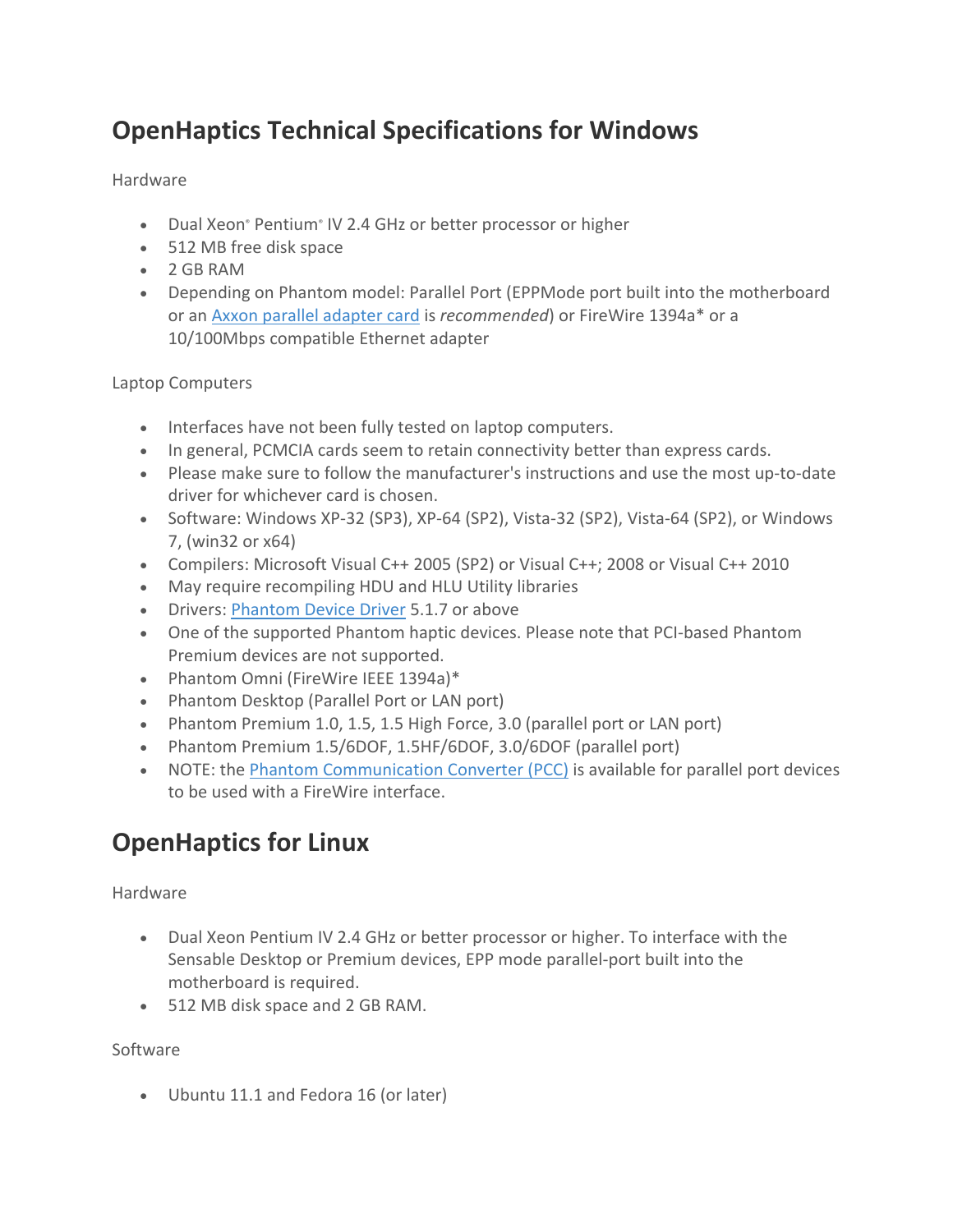# **OpenHaptics Technical Specifications for Windows**

## Hardware

- Dual Xeon<sup>®</sup> Pentium® IV 2.4 GHz or better processor or higher
- 512 MB free disk space
- 2 GB RAM
- Depending on Phantom model: Parallel Port (EPPMode port built into the motherboard or an Axxon parallel adapter card is *recommended*) or FireWire 1394a\* or a 10/100Mbps compatible Ethernet adapter

## Laptop Computers

- Interfaces have not been fully tested on laptop computers.
- In general, PCMCIA cards seem to retain connectivity better than express cards.
- Please make sure to follow the manufacturer's instructions and use the most up-to-date driver for whichever card is chosen.
- Software: Windows XP-32 (SP3), XP-64 (SP2), Vista-32 (SP2), Vista-64 (SP2), or Windows 7, (win32 or x64)
- Compilers: Microsoft Visual C++ 2005 (SP2) or Visual C++; 2008 or Visual C++ 2010
- May require recompiling HDU and HLU Utility libraries
- Drivers: Phantom Device Driver 5.1.7 or above
- One of the supported Phantom haptic devices. Please note that PCI-based Phantom Premium devices are not supported.
- Phantom Omni (FireWire IEEE 1394a)\*
- Phantom Desktop (Parallel Port or LAN port)
- Phantom Premium 1.0, 1.5, 1.5 High Force, 3.0 (parallel port or LAN port)
- Phantom Premium 1.5/6DOF, 1.5HF/6DOF, 3.0/6DOF (parallel port)
- NOTE: the Phantom Communication Converter (PCC) is available for parallel port devices to be used with a FireWire interface.

# **OpenHaptics for Linux**

Hardware

- Dual Xeon Pentium IV 2.4 GHz or better processor or higher. To interface with the Sensable Desktop or Premium devices, EPP mode parallel-port built into the motherboard is required.
- 512 MB disk space and 2 GB RAM.

## Software

• Ubuntu 11.1 and Fedora 16 (or later)